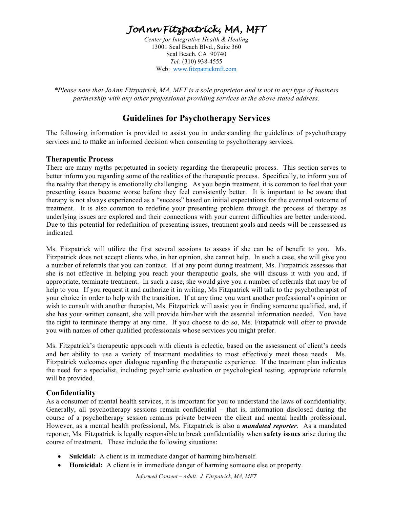# *JoAnn Fitzpatrick, MA, MFT*

*Center for Integrative Health & Healing* 13001 Seal Beach Blvd., Suite 360 Seal Beach, CA 90740 *Tel:* (310) 938-4555 Web: www.fitzpatrickmft.com

*\*Please note that JoAnn Fitzpatrick, MA, MFT is a sole proprietor and is not in any type of business partnership with any other professional providing services at the above stated address.* 

# **Guidelines for Psychotherapy Services**

The following information is provided to assist you in understanding the guidelines of psychotherapy services and to make an informed decision when consenting to psychotherapy services.

#### **Therapeutic Process**

There are many myths perpetuated in society regarding the therapeutic process. This section serves to better inform you regarding some of the realities of the therapeutic process. Specifically, to inform you of the reality that therapy is emotionally challenging. As you begin treatment, it is common to feel that your presenting issues become worse before they feel consistently better. It is important to be aware that therapy is not always experienced as a "success" based on initial expectations for the eventual outcome of treatment. It is also common to redefine your presenting problem through the process of therapy as underlying issues are explored and their connections with your current difficulties are better understood. Due to this potential for redefinition of presenting issues, treatment goals and needs will be reassessed as indicated.

Ms. Fitzpatrick will utilize the first several sessions to assess if she can be of benefit to you. Ms. Fitzpatrick does not accept clients who, in her opinion, she cannot help. In such a case, she will give you a number of referrals that you can contact. If at any point during treatment, Ms. Fitzpatrick assesses that she is not effective in helping you reach your therapeutic goals, she will discuss it with you and, if appropriate, terminate treatment. In such a case, she would give you a number of referrals that may be of help to you. If you request it and authorize it in writing, Ms Fitzpatrick will talk to the psychotherapist of your choice in order to help with the transition. If at any time you want another professional's opinion or wish to consult with another therapist, Ms. Fitzpatrick will assist you in finding someone qualified, and, if she has your written consent, she will provide him/her with the essential information needed. You have the right to terminate therapy at any time. If you choose to do so, Ms. Fitzpatrick will offer to provide you with names of other qualified professionals whose services you might prefer.

Ms. Fitzpatrick's therapeutic approach with clients is eclectic, based on the assessment of client's needs and her ability to use a variety of treatment modalities to most effectively meet those needs. Ms. Fitzpatrick welcomes open dialogue regarding the therapeutic experience. If the treatment plan indicates the need for a specialist, including psychiatric evaluation or psychological testing, appropriate referrals will be provided.

#### **Confidentiality**

As a consumer of mental health services, it is important for you to understand the laws of confidentiality. Generally, all psychotherapy sessions remain confidential – that is, information disclosed during the course of a psychotherapy session remains private between the client and mental health professional. However, as a mental health professional, Ms. Fitzpatrick is also a *mandated reporter*. As a mandated reporter, Ms. Fitzpatrick is legally responsible to break confidentiality when **safety issues** arise during the course of treatment. These include the following situations:

- **Suicidal:** A client is in immediate danger of harming him/herself.
- **Homicidal:** A client is in immediate danger of harming someone else or property.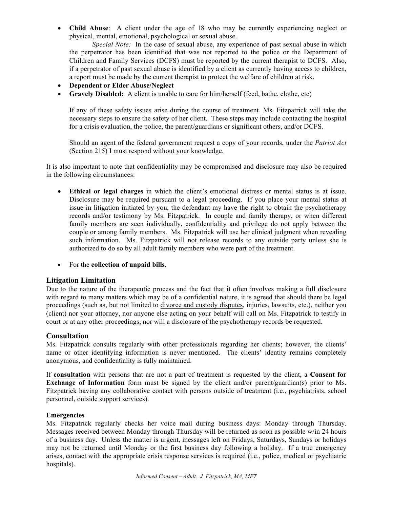• **Child Abuse**: A client under the age of 18 who may be currently experiencing neglect or physical, mental, emotional, psychological or sexual abuse.

*Special Note:* In the case of sexual abuse, any experience of past sexual abuse in which the perpetrator has been identified that was not reported to the police or the Department of Children and Family Services (DCFS) must be reported by the current therapist to DCFS. Also, if a perpetrator of past sexual abuse is identified by a client as currently having access to children, a report must be made by the current therapist to protect the welfare of children at risk.

- **Dependent or Elder Abuse/Neglect**
- **Gravely Disabled:** A client is unable to care for him/herself (feed, bathe, clothe, etc)

If any of these safety issues arise during the course of treatment, Ms. Fitzpatrick will take the necessary steps to ensure the safety of her client. These steps may include contacting the hospital for a crisis evaluation, the police, the parent/guardians or significant others, and/or DCFS.

Should an agent of the federal government request a copy of your records, under the *Patriot Act* (Section 215) I must respond without your knowledge.

It is also important to note that confidentiality may be compromised and disclosure may also be required in the following circumstances:

- **Ethical or legal charges** in which the client's emotional distress or mental status is at issue. Disclosure may be required pursuant to a legal proceeding. If you place your mental status at issue in litigation initiated by you, the defendant my have the right to obtain the psychotherapy records and/or testimony by Ms. Fitzpatrick. In couple and family therapy, or when different family members are seen individually, confidentiality and privilege do not apply between the couple or among family members. Ms. Fitzpatrick will use her clinical judgment when revealing such information. Ms. Fitzpatrick will not release records to any outside party unless she is authorized to do so by all adult family members who were part of the treatment.
- For the **collection of unpaid bills**.

# **Litigation Limitation**

Due to the nature of the therapeutic process and the fact that it often involves making a full disclosure with regard to many matters which may be of a confidential nature, it is agreed that should there be legal proceedings (such as, but not limited to divorce and custody disputes, injuries, lawsuits, etc.), neither you (client) nor your attorney, nor anyone else acting on your behalf will call on Ms. Fitzpatrick to testify in court or at any other proceedings, nor will a disclosure of the psychotherapy records be requested.

# **Consultation**

Ms. Fitzpatrick consults regularly with other professionals regarding her clients; however, the clients' name or other identifying information is never mentioned. The clients' identity remains completely anonymous, and confidentiality is fully maintained.

If **consultation** with persons that are not a part of treatment is requested by the client, a **Consent for Exchange of Information** form must be signed by the client and/or parent/guardian(s) prior to Ms. Fitzpatrick having any collaborative contact with persons outside of treatment (i.e., psychiatrists, school personnel, outside support services).

#### **Emergencies**

Ms. Fitzpatrick regularly checks her voice mail during business days: Monday through Thursday. Messages received between Monday through Thursday will be returned as soon as possible w/in 24 hours of a business day. Unless the matter is urgent, messages left on Fridays, Saturdays, Sundays or holidays may not be returned until Monday or the first business day following a holiday. If a true emergency arises, contact with the appropriate crisis response services is required (i.e., police, medical or psychiatric hospitals).